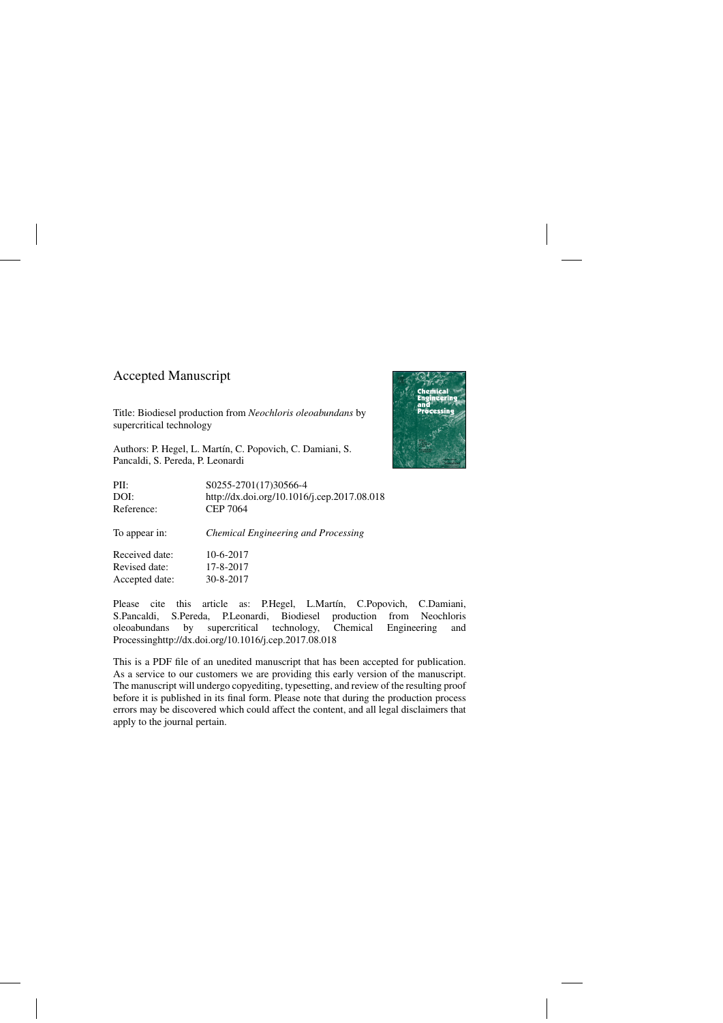## Accepted Manuscript

Title: Biodiesel production from *Neochloris oleoabundans* by supercritical technology

Authors: P. Hegel, L. Martín, C. Popovich, C. Damiani, S. Pancaldi, S. Pereda, P. Leonardi



Accepted date: 30-8-2017

Please cite this article as: P.Hegel, L.Martín, C.Popovich, C.Damiani, S.Pancaldi, S.Pereda, P.Leonardi, Biodiesel production from Neochloris oleoabundans by supercritical technology, Chemical Engineering and Processing<http://dx.doi.org/10.1016/j.cep.2017.08.018>

This is a PDF file of an unedited manuscript that has been accepted for publication. As a service to our customers we are providing this early version of the manuscript. The manuscript will undergo copyediting, typesetting, and review of the resulting proof before it is published in its final form. Please note that during the production process errors may be discovered which could affect the content, and all legal disclaimers that apply to the journal pertain.

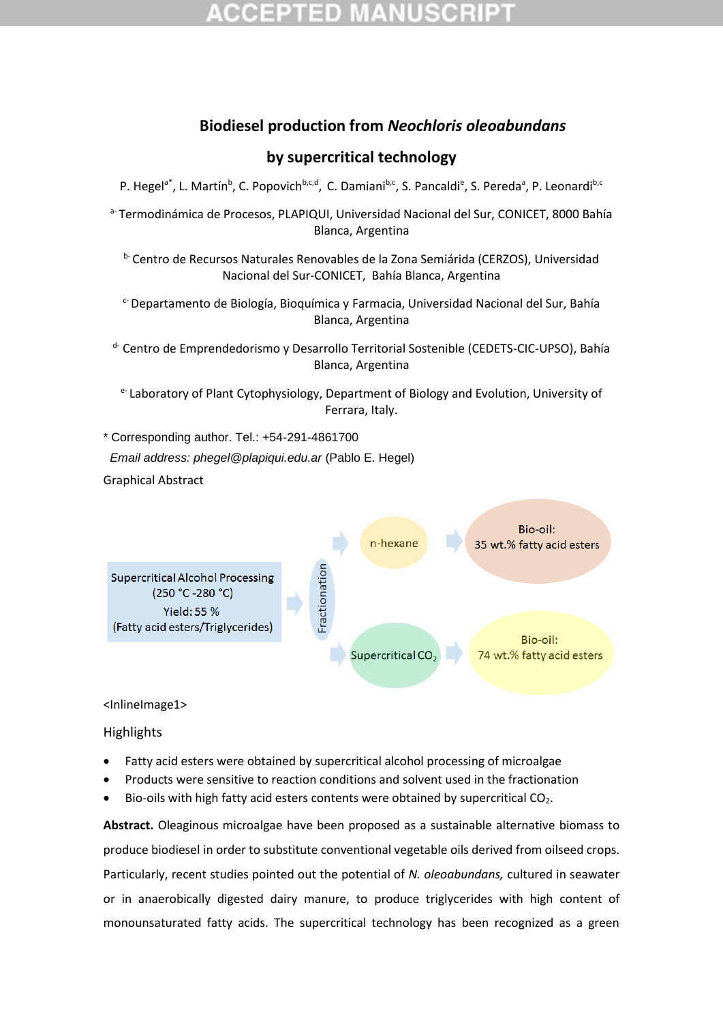## **Biodiesel production from** *Neochloris oleoabundans*

## **by supercritical technology**

P. Hegel<sup>a\*</sup>, L. Martín<sup>b</sup>, C. Popovich<sup>b,c,d</sup>, C. Damiani<sup>b,c</sup>, S. Pancaldi<sup>e</sup>, S. Pereda<sup>a</sup>, P. Leonardi<sup>b,c</sup>

a- Termodinámica de Procesos, PLAPIQUI, Universidad Nacional del Sur, CONICET, 8000 Bahía Blanca, Argentina

**b-Centro de Recursos Naturales Renovables de la Zona Semiárida (CERZOS), Universidad** Nacional del Sur-CONICET, Bahía Blanca, Argentina

 $c$ -Departamento de Biología, Bioquímica y Farmacia, Universidad Nacional del Sur, Bahía Blanca, Argentina

<sup>d-</sup> Centro de Emprendedorismo y Desarrollo Territorial Sostenible (CEDETS-CIC-UPSO), Bahía Blanca, Argentina

e Laboratory of Plant Cytophysiology, Department of Biology and Evolution, University of Ferrara, Italy.

\* Corresponding author. Tel.: +54-291-4861700

 *Email address: phegel@plapiqui.edu.ar* (Pablo E. Hegel)

Graphical Abstract



### <InlineImage1>

**Highlights** 

- Fatty acid esters were obtained by supercritical alcohol processing of microalgae
- Products were sensitive to reaction conditions and solvent used in the fractionation
- Bio-oils with high fatty acid esters contents were obtained by supercritical CO<sub>2</sub>.

**Abstract.** Oleaginous microalgae have been proposed as a sustainable alternative biomass to produce biodiesel in order to substitute conventional vegetable oils derived from oilseed crops. Particularly, recent studies pointed out the potential of *N. oleoabundans,* cultured in seawater or in anaerobically digested dairy manure, to produce triglycerides with high content of monounsaturated fatty acids. The supercritical technology has been recognized as a green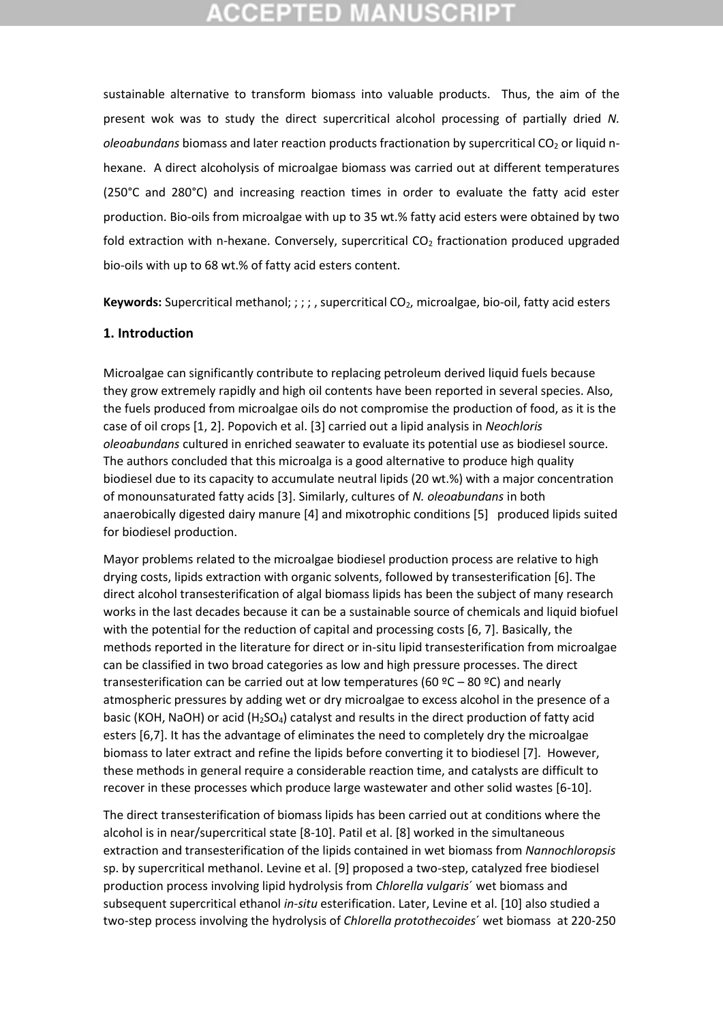## CCEPTED MAN

sustainable alternative to transform biomass into valuable products. Thus, the aim of the present wok was to study the direct supercritical alcohol processing of partially dried *N. oleoabundans* biomass and later reaction products fractionation by supercritical CO<sub>2</sub> or liquid nhexane. A direct alcoholysis of microalgae biomass was carried out at different temperatures (250°C and 280°C) and increasing reaction times in order to evaluate the fatty acid ester production. Bio-oils from microalgae with up to 35 wt.% fatty acid esters were obtained by two fold extraction with n-hexane. Conversely, supercritical  $CO<sub>2</sub>$  fractionation produced upgraded bio-oils with up to 68 wt.% of fatty acid esters content.

**Keywords:** Supercritical methanol; ; ; ; , supercritical CO<sub>2</sub>, microalgae, bio-oil, fatty acid esters

### **1. Introduction**

Microalgae can significantly contribute to replacing petroleum derived liquid fuels because they grow extremely rapidly and high oil contents have been reported in several species. Also, the fuels produced from microalgae oils do not compromise the production of food, as it is the case of oil crops [1, 2]. Popovich et al. [3] carried out a lipid analysis in *Neochloris oleoabundans* cultured in enriched seawater to evaluate its potential use as biodiesel source. The authors concluded that this microalga is a good alternative to produce high quality biodiesel due to its capacity to accumulate neutral lipids (20 wt.%) with a major concentration of monounsaturated fatty acids [3]. Similarly, cultures of *N. oleoabundans* in both anaerobically digested dairy manure [4] and mixotrophic conditions [5] produced lipids suited for biodiesel production.

Mayor problems related to the microalgae biodiesel production process are relative to high drying costs, lipids extraction with organic solvents, followed by transesterification [6]. The direct alcohol transesterification of algal biomass lipids has been the subject of many research works in the last decades because it can be a sustainable source of chemicals and liquid biofuel with the potential for the reduction of capital and processing costs [6, 7]. Basically, the methods reported in the literature for direct or in-situ lipid transesterification from microalgae can be classified in two broad categories as low and high pressure processes. The direct transesterification can be carried out at low temperatures (60  $°C - 80$  °C) and nearly atmospheric pressures by adding wet or dry microalgae to excess alcohol in the presence of a basic (KOH, NaOH) or acid (H<sub>2</sub>SO<sub>4</sub>) catalyst and results in the direct production of fatty acid esters [6,7]. It has the advantage of eliminates the need to completely dry the microalgae biomass to later extract and refine the lipids before converting it to biodiesel [7]. However, these methods in general require a considerable reaction time, and catalysts are difficult to recover in these processes which produce large wastewater and other solid wastes [6-10].

The direct transesterification of biomass lipids has been carried out at conditions where the alcohol is in near/supercritical state [8-10]. Patil et al. [8] worked in the simultaneous extraction and transesterification of the lipids contained in wet biomass from *Nannochloropsis*  sp. by supercritical methanol. Levine et al. [9] proposed a two-step, catalyzed free biodiesel production process involving lipid hydrolysis from *Chlorella vulgaris*´ wet biomass and subsequent supercritical ethanol *in-situ* esterification. Later, Levine et al. [10] also studied a two-step process involving the hydrolysis of *Chlorella protothecoides*´ wet biomass at 220-250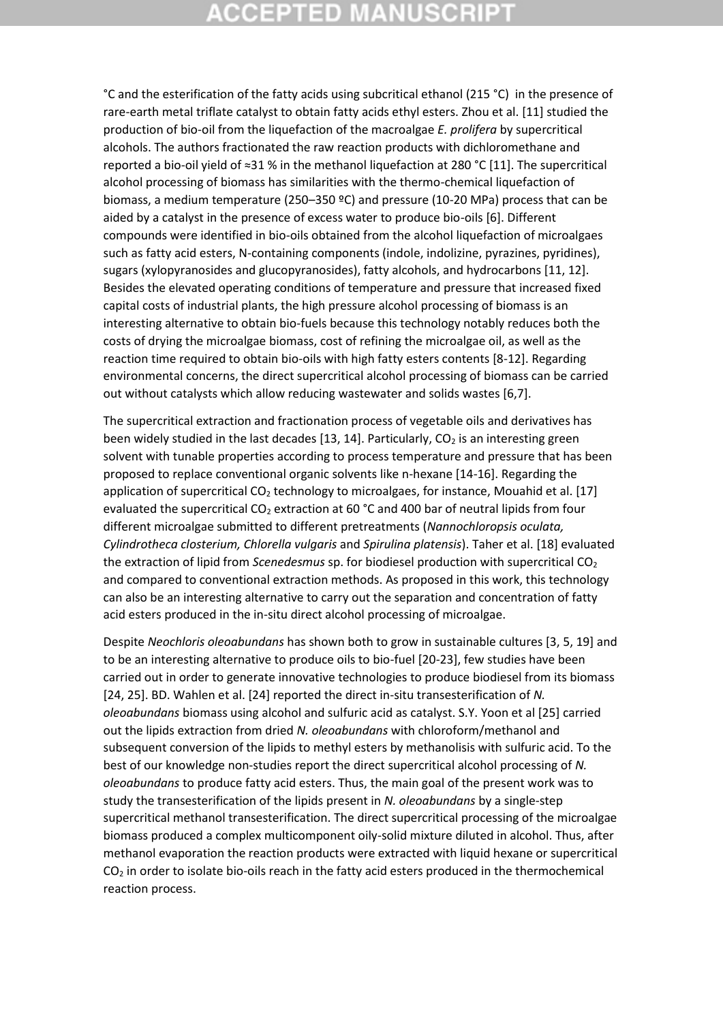# **CCEPTED MANUSCRI**

°C and the esterification of the fatty acids using subcritical ethanol (215 °C) in the presence of rare-earth metal triflate catalyst to obtain fatty acids ethyl esters. Zhou et al. [11] studied the production of bio-oil from the liquefaction of the macroalgae *E. prolifera* by supercritical alcohols. The authors fractionated the raw reaction products with dichloromethane and reported a bio-oil yield of ≈31 % in the methanol liquefaction at 280 °C [11]. The supercritical alcohol processing of biomass has similarities with the thermo-chemical liquefaction of biomass, a medium temperature (250–350 ºC) and pressure (10-20 MPa) process that can be aided by a catalyst in the presence of excess water to produce bio-oils [6]. Different compounds were identified in bio-oils obtained from the alcohol liquefaction of microalgaes such as fatty acid esters, N-containing components (indole, indolizine, pyrazines, pyridines), sugars (xylopyranosides and glucopyranosides), fatty alcohols, and hydrocarbons [11, 12]. Besides the elevated operating conditions of temperature and pressure that increased fixed capital costs of industrial plants, the high pressure alcohol processing of biomass is an interesting alternative to obtain bio-fuels because this technology notably reduces both the costs of drying the microalgae biomass, cost of refining the microalgae oil, as well as the reaction time required to obtain bio-oils with high fatty esters contents [8-12]. Regarding environmental concerns, the direct supercritical alcohol processing of biomass can be carried out without catalysts which allow reducing wastewater and solids wastes [6,7].

The supercritical extraction and fractionation process of vegetable oils and derivatives has been widely studied in the last decades [13, 14]. Particularly,  $CO<sub>2</sub>$  is an interesting green solvent with tunable properties according to process temperature and pressure that has been proposed to replace conventional organic solvents like n-hexane [14-16]. Regarding the application of supercritical  $CO<sub>2</sub>$  technology to microalgaes, for instance, Mouahid et al. [17] evaluated the supercritical CO<sub>2</sub> extraction at 60 °C and 400 bar of neutral lipids from four different microalgae submitted to different pretreatments (*Nannochloropsis oculata, Cylindrotheca closterium, Chlorella vulgaris* and *Spirulina platensis*). Taher et al. [18] evaluated the extraction of lipid from *Scenedesmus* sp. for biodiesel production with supercritical CO<sup>2</sup> and compared to conventional extraction methods. As proposed in this work, this technology can also be an interesting alternative to carry out the separation and concentration of fatty acid esters produced in the in-situ direct alcohol processing of microalgae.

Despite *Neochloris oleoabundans* has shown both to grow in sustainable cultures [3, 5, 19] and to be an interesting alternative to produce oils to bio-fuel [20-23], few studies have been carried out in order to generate innovative technologies to produce biodiesel from its biomass [24, 25]. BD. Wahlen et al. [24] reported the direct in-situ transesterification of *N. oleoabundans* biomass using alcohol and sulfuric acid as catalyst. S.Y. Yoon et al [25] carried out the lipids extraction from dried *N. oleoabundans* with chloroform/methanol and subsequent conversion of the lipids to methyl esters by methanolisis with sulfuric acid. To the best of our knowledge non-studies report the direct supercritical alcohol processing of *N. oleoabundans* to produce fatty acid esters. Thus, the main goal of the present work was to study the transesterification of the lipids present in *N. oleoabundans* by a single-step supercritical methanol transesterification. The direct supercritical processing of the microalgae biomass produced a complex multicomponent oily-solid mixture diluted in alcohol. Thus, after methanol evaporation the reaction products were extracted with liquid hexane or supercritical  $CO<sub>2</sub>$  in order to isolate bio-oils reach in the fatty acid esters produced in the thermochemical reaction process.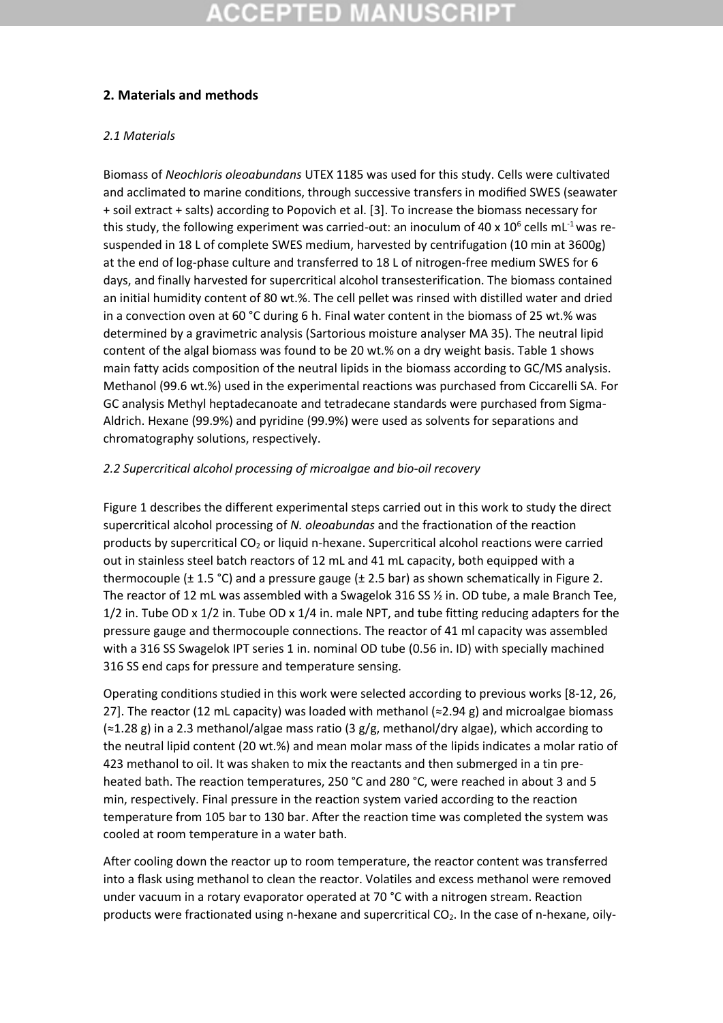## **2. Materials and methods**

### *2.1 Materials*

Biomass of *Neochloris oleoabundans* UTEX 1185 was used for this study. Cells were cultivated and acclimated to marine conditions, through successive transfers in modified SWES (seawater + soil extract + salts) according to Popovich et al. [3]. To increase the biomass necessary for this study, the following experiment was carried-out: an inoculum of 40 x  $10^6$  cells mL<sup>-1</sup> was resuspended in 18 L of complete SWES medium, harvested by centrifugation (10 min at 3600g) at the end of log-phase culture and transferred to 18 L of nitrogen-free medium SWES for 6 days, and finally harvested for supercritical alcohol transesterification. The biomass contained an initial humidity content of 80 wt.%. The cell pellet was rinsed with distilled water and dried in a convection oven at 60 °C during 6 h. Final water content in the biomass of 25 wt.% was determined by a gravimetric analysis (Sartorious moisture analyser MA 35). The neutral lipid content of the algal biomass was found to be 20 wt.% on a dry weight basis. Table 1 shows main fatty acids composition of the neutral lipids in the biomass according to GC/MS analysis. Methanol (99.6 wt.%) used in the experimental reactions was purchased from Ciccarelli SA. For GC analysis Methyl heptadecanoate and tetradecane standards were purchased from Sigma-Aldrich. Hexane (99.9%) and pyridine (99.9%) were used as solvents for separations and chromatography solutions, respectively.

### *2.2 Supercritical alcohol processing of microalgae and bio-oil recovery*

Figure 1 describes the different experimental steps carried out in this work to study the direct supercritical alcohol processing of *N. oleoabundas* and the fractionation of the reaction products by supercritical CO<sub>2</sub> or liquid n-hexane. Supercritical alcohol reactions were carried out in stainless steel batch reactors of 12 mL and 41 mL capacity, both equipped with a thermocouple ( $\pm$  1.5 °C) and a pressure gauge ( $\pm$  2.5 bar) as shown schematically in Figure 2. The reactor of 12 mL was assembled with a Swagelok 316 SS ½ in. OD tube, a male Branch Tee, 1/2 in. Tube OD x 1/2 in. Tube OD x 1/4 in. male NPT, and tube fitting reducing adapters for the pressure gauge and thermocouple connections. The reactor of 41 ml capacity was assembled with a 316 SS Swagelok IPT series 1 in. nominal OD tube (0.56 in. ID) with specially machined 316 SS end caps for pressure and temperature sensing.

Operating conditions studied in this work were selected according to previous works [8-12, 26, 27]. The reactor (12 mL capacity) was loaded with methanol  $\approx$  2.94 g) and microalgae biomass (≈1.28 g) in a 2.3 methanol/algae mass ratio (3 g/g, methanol/dry algae), which according to the neutral lipid content (20 wt.%) and mean molar mass of the lipids indicates a molar ratio of 423 methanol to oil. It was shaken to mix the reactants and then submerged in a tin preheated bath. The reaction temperatures, 250 °C and 280 °C, were reached in about 3 and 5 min, respectively. Final pressure in the reaction system varied according to the reaction temperature from 105 bar to 130 bar. After the reaction time was completed the system was cooled at room temperature in a water bath.

After cooling down the reactor up to room temperature, the reactor content was transferred into a flask using methanol to clean the reactor. Volatiles and excess methanol were removed under vacuum in a rotary evaporator operated at 70 °C with a nitrogen stream. Reaction products were fractionated using n-hexane and supercritical  $CO<sub>2</sub>$ . In the case of n-hexane, oily-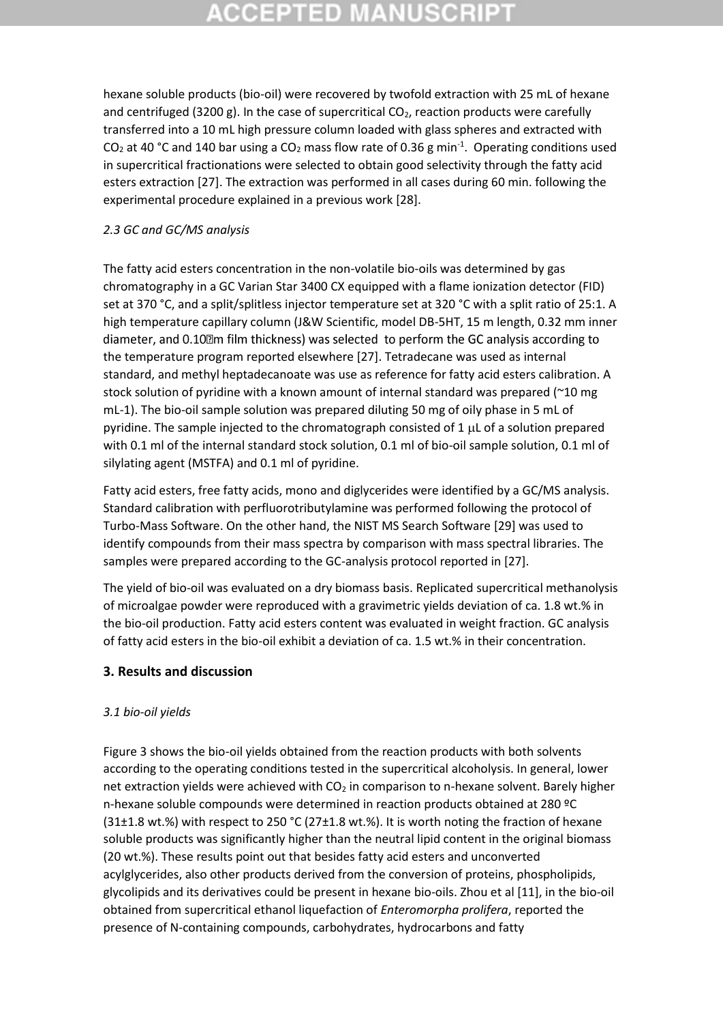# **CCEPTED MANUSCR**

hexane soluble products (bio-oil) were recovered by twofold extraction with 25 mL of hexane and centrifuged (3200 g). In the case of supercritical  $CO<sub>2</sub>$ , reaction products were carefully transferred into a 10 mL high pressure column loaded with glass spheres and extracted with CO<sub>2</sub> at 40 °C and 140 bar using a CO<sub>2</sub> mass flow rate of 0.36 g min<sup>-1</sup>. Operating conditions used in supercritical fractionations were selected to obtain good selectivity through the fatty acid esters extraction [27]. The extraction was performed in all cases during 60 min. following the experimental procedure explained in a previous work [28].

### *2.3 GC and GC/MS analysis*

The fatty acid esters concentration in the non-volatile bio-oils was determined by gas chromatography in a GC Varian Star 3400 CX equipped with a flame ionization detector (FID) set at 370 °C, and a split/splitless injector temperature set at 320 °C with a split ratio of 25:1. A high temperature capillary column (J&W Scientific, model DB-5HT, 15 m length, 0.32 mm inner diameter, and 0.10<sup>[2]</sup> m film thickness) was selected to perform the GC analysis according to the temperature program reported elsewhere [27]. Tetradecane was used as internal standard, and methyl heptadecanoate was use as reference for fatty acid esters calibration. A stock solution of pyridine with a known amount of internal standard was prepared (~10 mg mL-1). The bio-oil sample solution was prepared diluting 50 mg of oily phase in 5 mL of pyridine. The sample injected to the chromatograph consisted of 1  $\mu$ L of a solution prepared with 0.1 ml of the internal standard stock solution, 0.1 ml of bio-oil sample solution, 0.1 ml of silylating agent (MSTFA) and 0.1 ml of pyridine.

Fatty acid esters, free fatty acids, mono and diglycerides were identified by a GC/MS analysis. Standard calibration with perfluorotributylamine was performed following the protocol of Turbo-Mass Software. On the other hand, the NIST MS Search Software [29] was used to identify compounds from their mass spectra by comparison with mass spectral libraries. The samples were prepared according to the GC-analysis protocol reported in [27].

The yield of bio-oil was evaluated on a dry biomass basis. Replicated supercritical methanolysis of microalgae powder were reproduced with a gravimetric yields deviation of ca. 1.8 wt.% in the bio-oil production. Fatty acid esters content was evaluated in weight fraction. GC analysis of fatty acid esters in the bio-oil exhibit a deviation of ca. 1.5 wt.% in their concentration.

### **3. Results and discussion**

### *3.1 bio-oil yields*

Figure 3 shows the bio-oil yields obtained from the reaction products with both solvents according to the operating conditions tested in the supercritical alcoholysis. In general, lower net extraction yields were achieved with  $CO<sub>2</sub>$  in comparison to n-hexane solvent. Barely higher n-hexane soluble compounds were determined in reaction products obtained at 280 ºC (31 $\pm$ 1.8 wt.%) with respect to 250 °C (27 $\pm$ 1.8 wt.%). It is worth noting the fraction of hexane soluble products was significantly higher than the neutral lipid content in the original biomass (20 wt.%). These results point out that besides fatty acid esters and unconverted acylglycerides, also other products derived from the conversion of proteins, phospholipids, glycolipids and its derivatives could be present in hexane bio-oils. Zhou et al [11], in the bio-oil obtained from supercritical ethanol liquefaction of *Enteromorpha prolifera*, reported the presence of N-containing compounds, carbohydrates, hydrocarbons and fatty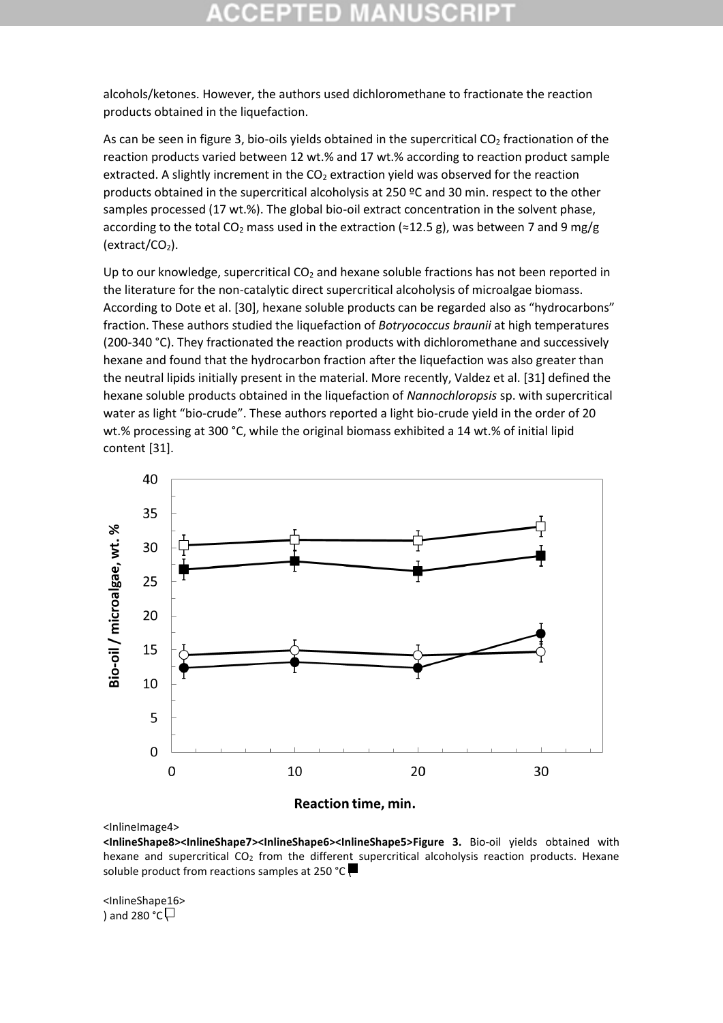alcohols/ketones. However, the authors used dichloromethane to fractionate the reaction products obtained in the liquefaction.

As can be seen in figure 3, bio-oils yields obtained in the supercritical  $CO<sub>2</sub>$  fractionation of the reaction products varied between 12 wt.% and 17 wt.% according to reaction product sample extracted. A slightly increment in the  $CO<sub>2</sub>$  extraction yield was observed for the reaction products obtained in the supercritical alcoholysis at 250 ºC and 30 min. respect to the other samples processed (17 wt.%). The global bio-oil extract concentration in the solvent phase, according to the total CO<sub>2</sub> mass used in the extraction (≈12.5 g), was between 7 and 9 mg/g  $(extract/CO<sub>2</sub>).$ 

Up to our knowledge, supercritical  $CO<sub>2</sub>$  and hexane soluble fractions has not been reported in the literature for the non-catalytic direct supercritical alcoholysis of microalgae biomass. According to Dote et al. [30], hexane soluble products can be regarded also as "hydrocarbons" fraction. These authors studied the liquefaction of *Botryococcus braunii* at high temperatures (200-340 °C). They fractionated the reaction products with dichloromethane and successively hexane and found that the hydrocarbon fraction after the liquefaction was also greater than the neutral lipids initially present in the material. More recently, Valdez et al. [31] defined the hexane soluble products obtained in the liquefaction of *Nannochloropsis* sp. with supercritical water as light "bio-crude". These authors reported a light bio-crude yield in the order of 20 wt.% processing at 300 °C, while the original biomass exhibited a 14 wt.% of initial lipid content [31].



**Reaction time, min.** 

<InlineImage4>

**<InlineShape8><InlineShape7><InlineShape6><InlineShape5>Figure 3.** Bio-oil yields obtained with hexane and supercritical  $CO<sub>2</sub>$  from the different supercritical alcoholysis reaction products. Hexane soluble product from reactions samples at 250 °C

<InlineShape16> ) and 280 °C $\Box$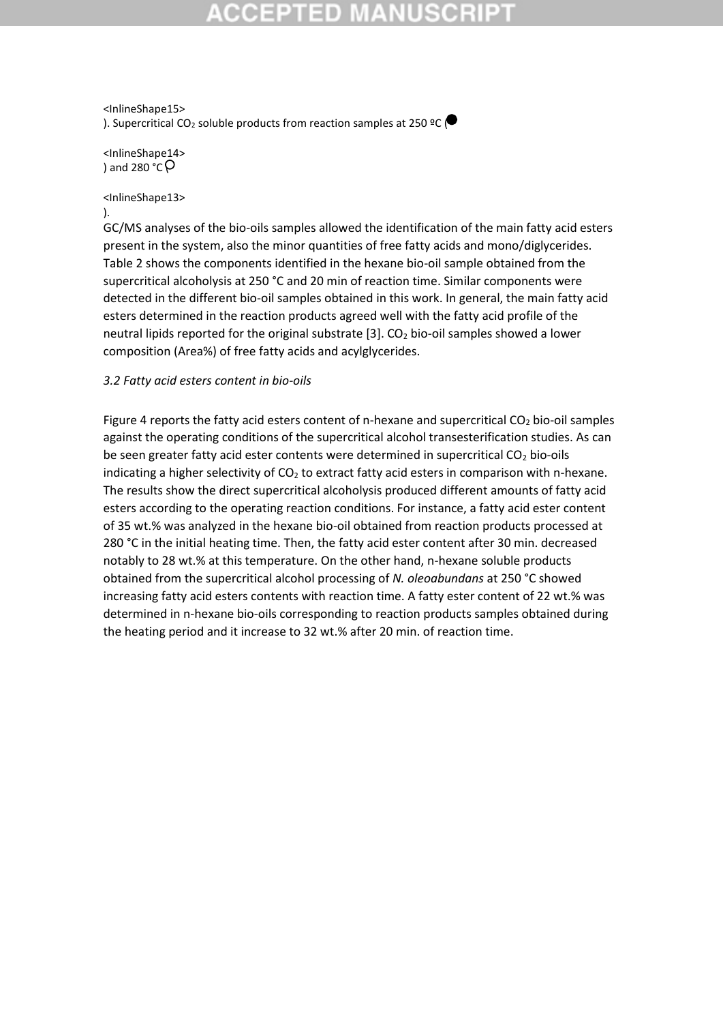## **CCEPTED MAN**

<InlineShape15> ). Supercritical CO<sub>2</sub> soluble products from reaction samples at 250 °C ( $\bullet$ 

<InlineShape14> ) and 280  $^{\circ}$ C $\circ$ 

### <InlineShape13>

).

GC/MS analyses of the bio-oils samples allowed the identification of the main fatty acid esters present in the system, also the minor quantities of free fatty acids and mono/diglycerides. Table 2 shows the components identified in the hexane bio-oil sample obtained from the supercritical alcoholysis at 250 °C and 20 min of reaction time. Similar components were detected in the different bio-oil samples obtained in this work. In general, the main fatty acid esters determined in the reaction products agreed well with the fatty acid profile of the neutral lipids reported for the original substrate  $[3]$ . CO<sub>2</sub> bio-oil samples showed a lower composition (Area%) of free fatty acids and acylglycerides.

### *3.2 Fatty acid esters content in bio-oils*

Figure 4 reports the fatty acid esters content of n-hexane and supercritical CO<sub>2</sub> bio-oil samples against the operating conditions of the supercritical alcohol transesterification studies. As can be seen greater fatty acid ester contents were determined in supercritical  $CO<sub>2</sub>$  bio-oils indicating a higher selectivity of  $CO<sub>2</sub>$  to extract fatty acid esters in comparison with n-hexane. The results show the direct supercritical alcoholysis produced different amounts of fatty acid esters according to the operating reaction conditions. For instance, a fatty acid ester content of 35 wt.% was analyzed in the hexane bio-oil obtained from reaction products processed at 280 °C in the initial heating time. Then, the fatty acid ester content after 30 min. decreased notably to 28 wt.% at this temperature. On the other hand, n-hexane soluble products obtained from the supercritical alcohol processing of *N. oleoabundans* at 250 °C showed increasing fatty acid esters contents with reaction time. A fatty ester content of 22 wt.% was determined in n-hexane bio-oils corresponding to reaction products samples obtained during the heating period and it increase to 32 wt.% after 20 min. of reaction time.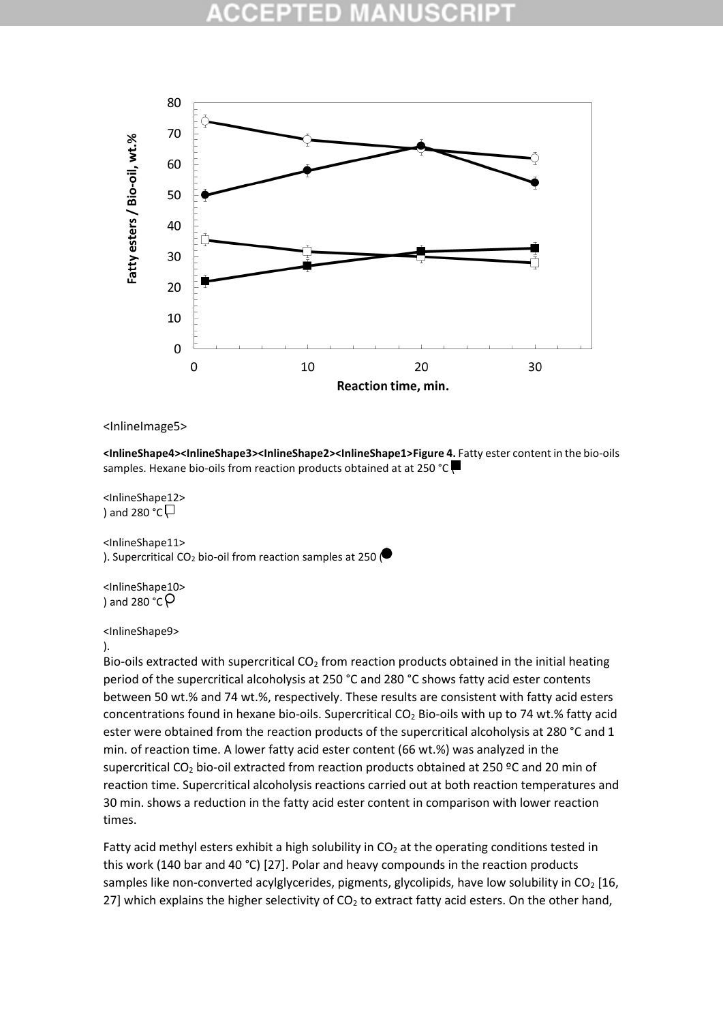

### <InlineImage5>

**<InlineShape4><InlineShape3><InlineShape2><InlineShape1>Figure 4.** Fatty ester content in the bio-oils samples. Hexane bio-oils from reaction products obtained at at 250 °C

<InlineShape12> ) and 280  $^{\circ}$ C $\Box$ 

<InlineShape11> ). Supercritical CO<sub>2</sub> bio-oil from reaction samples at 250

<InlineShape10> ) and 280  $\degree$ C $\degree$ 

<InlineShape9>

).

Bio-oils extracted with supercritical  $CO<sub>2</sub>$  from reaction products obtained in the initial heating period of the supercritical alcoholysis at 250 °C and 280 °C shows fatty acid ester contents between 50 wt.% and 74 wt.%, respectively. These results are consistent with fatty acid esters concentrations found in hexane bio-oils. Supercritical  $CO<sub>2</sub>$  Bio-oils with up to 74 wt.% fatty acid ester were obtained from the reaction products of the supercritical alcoholysis at 280 °C and 1 min. of reaction time. A lower fatty acid ester content (66 wt.%) was analyzed in the supercritical CO<sup>2</sup> bio-oil extracted from reaction products obtained at 250 ºC and 20 min of reaction time. Supercritical alcoholysis reactions carried out at both reaction temperatures and 30 min. shows a reduction in the fatty acid ester content in comparison with lower reaction times.

Fatty acid methyl esters exhibit a high solubility in  $CO<sub>2</sub>$  at the operating conditions tested in this work (140 bar and 40 °C) [27]. Polar and heavy compounds in the reaction products samples like non-converted acylglycerides, pigments, glycolipids, have low solubility in  $CO<sub>2</sub>$  [16, 27] which explains the higher selectivity of  $CO<sub>2</sub>$  to extract fatty acid esters. On the other hand,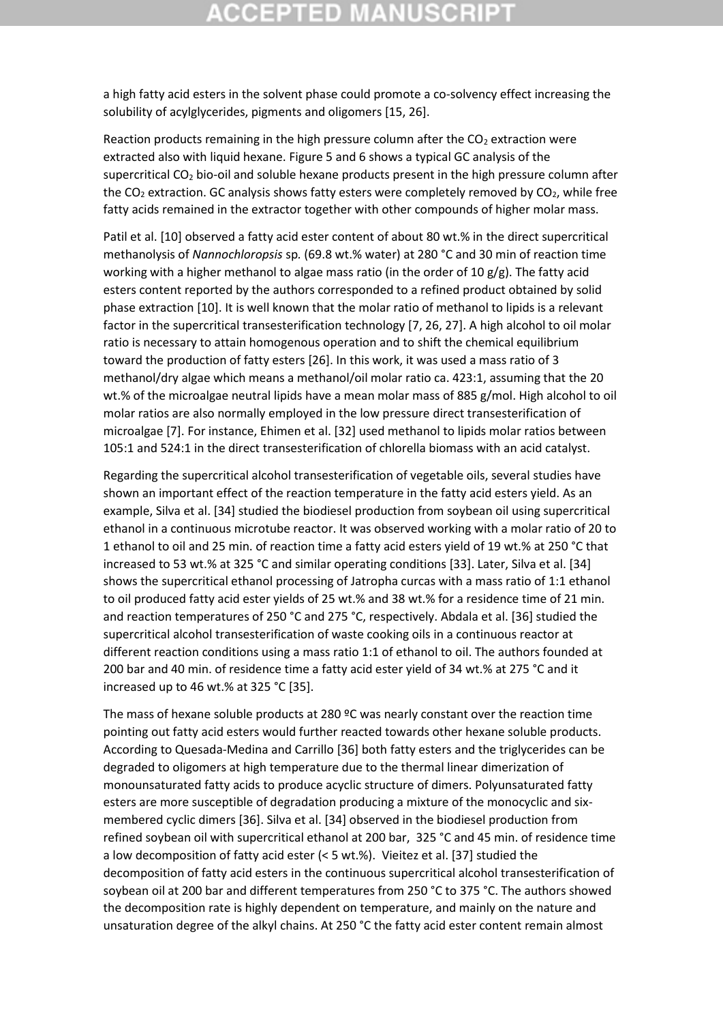## **CCEPTED MANUSCR**

a high fatty acid esters in the solvent phase could promote a co-solvency effect increasing the solubility of acylglycerides, pigments and oligomers [15, 26].

Reaction products remaining in the high pressure column after the  $CO<sub>2</sub>$  extraction were extracted also with liquid hexane. Figure 5 and 6 shows a typical GC analysis of the supercritical CO<sub>2</sub> bio-oil and soluble hexane products present in the high pressure column after the  $CO<sub>2</sub>$  extraction. GC analysis shows fatty esters were completely removed by  $CO<sub>2</sub>$ , while free fatty acids remained in the extractor together with other compounds of higher molar mass.

Patil et al. [10] observed a fatty acid ester content of about 80 wt.% in the direct supercritical methanolysis of *Nannochloropsis* sp*.* (69.8 wt.% water) at 280 °C and 30 min of reaction time working with a higher methanol to algae mass ratio (in the order of 10  $g/g$ ). The fatty acid esters content reported by the authors corresponded to a refined product obtained by solid phase extraction [10]. It is well known that the molar ratio of methanol to lipids is a relevant factor in the supercritical transesterification technology [7, 26, 27]. A high alcohol to oil molar ratio is necessary to attain homogenous operation and to shift the chemical equilibrium toward the production of fatty esters [26]. In this work, it was used a mass ratio of 3 methanol/dry algae which means a methanol/oil molar ratio ca. 423:1, assuming that the 20 wt.% of the microalgae neutral lipids have a mean molar mass of 885 g/mol. High alcohol to oil molar ratios are also normally employed in the low pressure direct transesterification of microalgae [7]. For instance, Ehimen et al. [32] used methanol to lipids molar ratios between 105:1 and 524:1 in the direct transesterification of chlorella biomass with an acid catalyst.

Regarding the supercritical alcohol transesterification of vegetable oils, several studies have shown an important effect of the reaction temperature in the fatty acid esters yield. As an example, Silva et al. [34] studied the biodiesel production from soybean oil using supercritical ethanol in a continuous microtube reactor. It was observed working with a molar ratio of 20 to 1 ethanol to oil and 25 min. of reaction time a fatty acid esters yield of 19 wt.% at 250 °C that increased to 53 wt.% at 325 °C and similar operating conditions [33]. Later, Silva et al. [34] shows the supercritical ethanol processing of Jatropha curcas with a mass ratio of 1:1 ethanol to oil produced fatty acid ester yields of 25 wt.% and 38 wt.% for a residence time of 21 min. and reaction temperatures of 250 °C and 275 °C, respectively. Abdala et al. [36] studied the supercritical alcohol transesterification of waste cooking oils in a continuous reactor at different reaction conditions using a mass ratio 1:1 of ethanol to oil. The authors founded at 200 bar and 40 min. of residence time a fatty acid ester yield of 34 wt.% at 275 °C and it increased up to 46 wt.% at 325 °C [35].

The mass of hexane soluble products at 280  $°C$  was nearly constant over the reaction time pointing out fatty acid esters would further reacted towards other hexane soluble products. According to Quesada-Medina and Carrillo [36] both fatty esters and the triglycerides can be degraded to oligomers at high temperature due to the thermal linear dimerization of monounsaturated fatty acids to produce acyclic structure of dimers. Polyunsaturated fatty esters are more susceptible of degradation producing a mixture of the monocyclic and sixmembered cyclic dimers [36]. Silva et al. [34] observed in the biodiesel production from refined soybean oil with supercritical ethanol at 200 bar, 325 °C and 45 min. of residence time a low decomposition of fatty acid ester (< 5 wt.%). Vieitez et al. [37] studied the decomposition of fatty acid esters in the continuous supercritical alcohol transesterification of soybean oil at 200 bar and different temperatures from 250 °C to 375 °C. The authors showed the decomposition rate is highly dependent on temperature, and mainly on the nature and unsaturation degree of the alkyl chains. At 250 °C the fatty acid ester content remain almost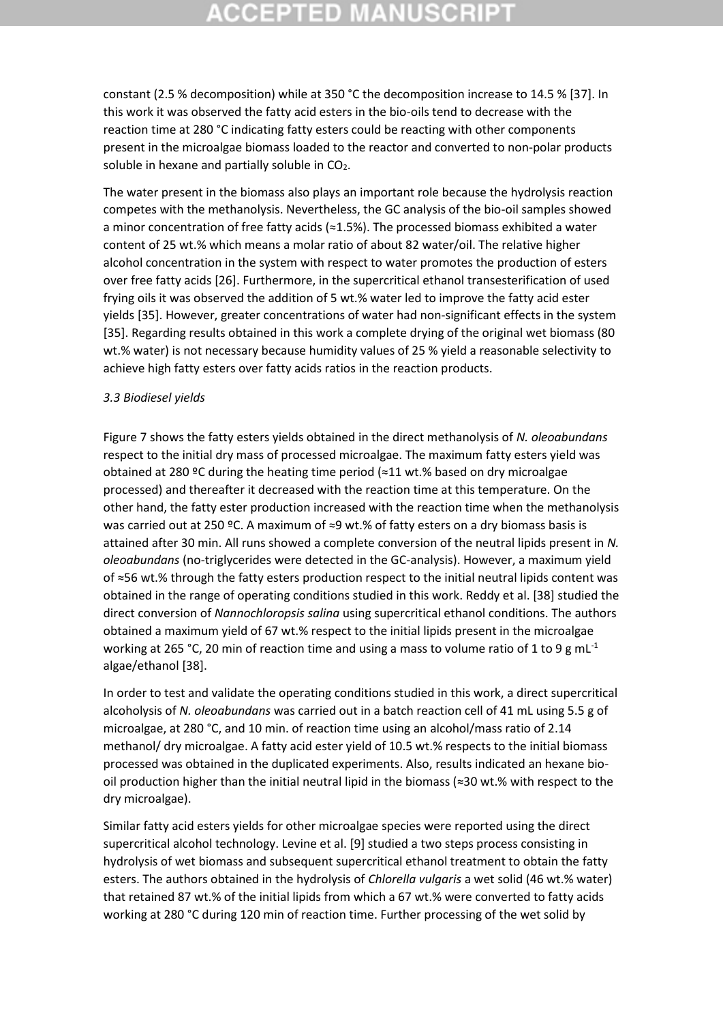# **CCEPTED MANUSCR**

constant (2.5 % decomposition) while at 350 °C the decomposition increase to 14.5 % [37]. In this work it was observed the fatty acid esters in the bio-oils tend to decrease with the reaction time at 280 °C indicating fatty esters could be reacting with other components present in the microalgae biomass loaded to the reactor and converted to non-polar products soluble in hexane and partially soluble in  $CO<sub>2</sub>$ .

The water present in the biomass also plays an important role because the hydrolysis reaction competes with the methanolysis. Nevertheless, the GC analysis of the bio-oil samples showed a minor concentration of free fatty acids (≈1.5%). The processed biomass exhibited a water content of 25 wt.% which means a molar ratio of about 82 water/oil. The relative higher alcohol concentration in the system with respect to water promotes the production of esters over free fatty acids [26]. Furthermore, in the supercritical ethanol transesterification of used frying oils it was observed the addition of 5 wt.% water led to improve the fatty acid ester yields [35]. However, greater concentrations of water had non-significant effects in the system [35]. Regarding results obtained in this work a complete drying of the original wet biomass (80 wt.% water) is not necessary because humidity values of 25 % yield a reasonable selectivity to achieve high fatty esters over fatty acids ratios in the reaction products.

### *3.3 Biodiesel yields*

Figure 7 shows the fatty esters yields obtained in the direct methanolysis of *N. oleoabundans* respect to the initial dry mass of processed microalgae. The maximum fatty esters yield was obtained at 280 °C during the heating time period ( $\approx$ 11 wt.% based on dry microalgae processed) and thereafter it decreased with the reaction time at this temperature. On the other hand, the fatty ester production increased with the reaction time when the methanolysis was carried out at 250 °C. A maximum of ≈9 wt.% of fatty esters on a dry biomass basis is attained after 30 min. All runs showed a complete conversion of the neutral lipids present in *N. oleoabundans* (no-triglycerides were detected in the GC-analysis). However, a maximum yield of ≈56 wt.% through the fatty esters production respect to the initial neutral lipids content was obtained in the range of operating conditions studied in this work. Reddy et al. [38] studied the direct conversion of *Nannochloropsis salina* using supercritical ethanol conditions. The authors obtained a maximum yield of 67 wt.% respect to the initial lipids present in the microalgae working at 265 °C, 20 min of reaction time and using a mass to volume ratio of 1 to 9 g mL<sup>-1</sup> algae/ethanol [38].

In order to test and validate the operating conditions studied in this work, a direct supercritical alcoholysis of *N. oleoabundans* was carried out in a batch reaction cell of 41 mL using 5.5 g of microalgae, at 280 °C, and 10 min. of reaction time using an alcohol/mass ratio of 2.14 methanol/ dry microalgae. A fatty acid ester yield of 10.5 wt.% respects to the initial biomass processed was obtained in the duplicated experiments. Also, results indicated an hexane biooil production higher than the initial neutral lipid in the biomass (≈30 wt.% with respect to the dry microalgae).

Similar fatty acid esters yields for other microalgae species were reported using the direct supercritical alcohol technology. Levine et al. [9] studied a two steps process consisting in hydrolysis of wet biomass and subsequent supercritical ethanol treatment to obtain the fatty esters. The authors obtained in the hydrolysis of *Chlorella vulgaris* a wet solid (46 wt.% water) that retained 87 wt.% of the initial lipids from which a 67 wt.% were converted to fatty acids working at 280 °C during 120 min of reaction time. Further processing of the wet solid by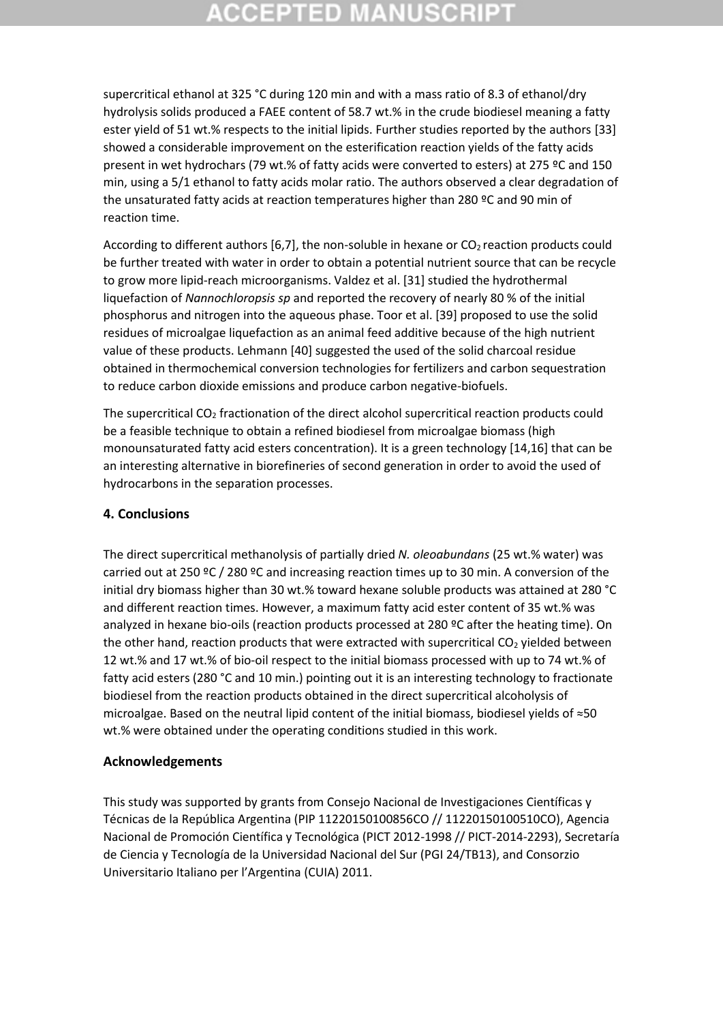# **CCEPTED MANUSCRI**

supercritical ethanol at 325 °C during 120 min and with a mass ratio of 8.3 of ethanol/dry hydrolysis solids produced a FAEE content of 58.7 wt.% in the crude biodiesel meaning a fatty ester yield of 51 wt.% respects to the initial lipids. Further studies reported by the authors [33] showed a considerable improvement on the esterification reaction yields of the fatty acids present in wet hydrochars (79 wt.% of fatty acids were converted to esters) at 275 ºC and 150 min, using a 5/1 ethanol to fatty acids molar ratio. The authors observed a clear degradation of the unsaturated fatty acids at reaction temperatures higher than 280 ºC and 90 min of reaction time.

According to different authors [6,7], the non-soluble in hexane or  $CO<sub>2</sub>$  reaction products could be further treated with water in order to obtain a potential nutrient source that can be recycle to grow more lipid-reach microorganisms. Valdez et al. [31] studied the hydrothermal liquefaction of *Nannochloropsis sp* and reported the recovery of nearly 80 % of the initial phosphorus and nitrogen into the aqueous phase. Toor et al. [39] proposed to use the solid residues of microalgae liquefaction as an animal feed additive because of the high nutrient value of these products. Lehmann [40] suggested the used of the solid charcoal residue obtained in thermochemical conversion technologies for fertilizers and carbon sequestration to reduce carbon dioxide emissions and produce carbon negative-biofuels.

The supercritical CO<sub>2</sub> fractionation of the direct alcohol supercritical reaction products could be a feasible technique to obtain a refined biodiesel from microalgae biomass (high monounsaturated fatty acid esters concentration). It is a green technology [14,16] that can be an interesting alternative in biorefineries of second generation in order to avoid the used of hydrocarbons in the separation processes.

### **4. Conclusions**

The direct supercritical methanolysis of partially dried *N. oleoabundans* (25 wt.% water) was carried out at 250 °C / 280 °C and increasing reaction times up to 30 min. A conversion of the initial dry biomass higher than 30 wt.% toward hexane soluble products was attained at 280 °C and different reaction times. However, a maximum fatty acid ester content of 35 wt.% was analyzed in hexane bio-oils (reaction products processed at 280 ºC after the heating time). On the other hand, reaction products that were extracted with supercritical  $CO<sub>2</sub>$  yielded between 12 wt.% and 17 wt.% of bio-oil respect to the initial biomass processed with up to 74 wt.% of fatty acid esters (280 °C and 10 min.) pointing out it is an interesting technology to fractionate biodiesel from the reaction products obtained in the direct supercritical alcoholysis of microalgae. Based on the neutral lipid content of the initial biomass, biodiesel yields of ≈50 wt.% were obtained under the operating conditions studied in this work.

### **Acknowledgements**

This study was supported by grants from Consejo Nacional de Investigaciones Científicas y Técnicas de la República Argentina (PIP 11220150100856CO // 11220150100510CO), Agencia Nacional de Promoción Científica y Tecnológica (PICT 2012-1998 // PICT-2014-2293), Secretaría de Ciencia y Tecnología de la Universidad Nacional del Sur (PGI 24/TB13), and Consorzio Universitario Italiano per l'Argentina (CUIA) 2011.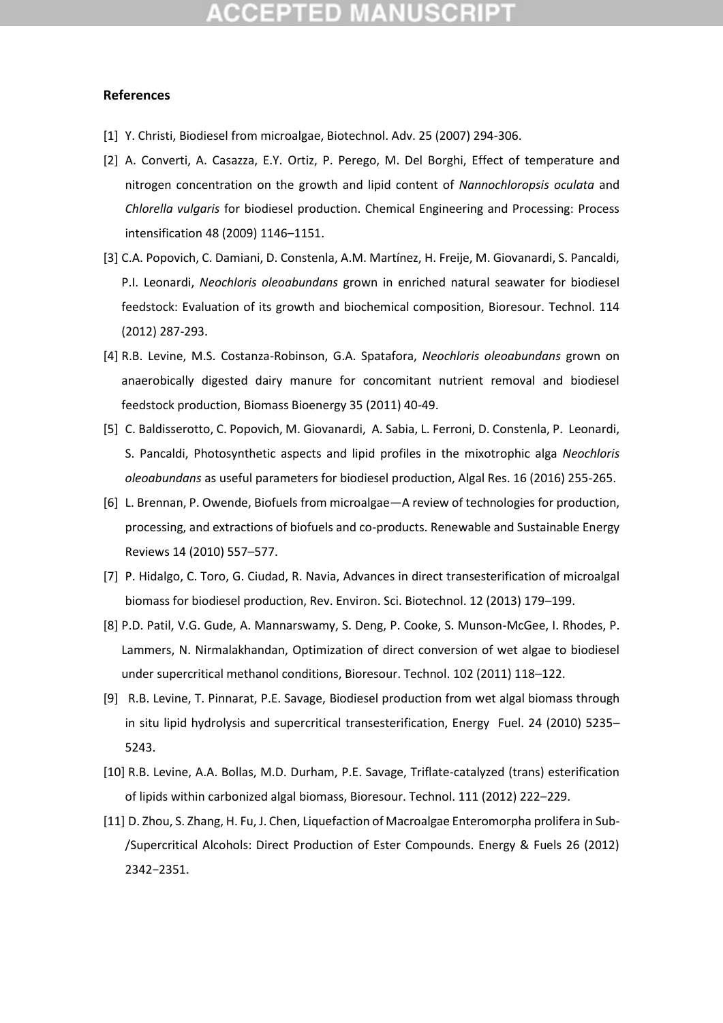## :CEPTED M

### **References**

- [1] Y. Christi, Biodiesel from microalgae, Biotechnol. Adv. 25 (2007) 294-306.
- [2] A. Converti, A. Casazza, E.Y. Ortiz, P. Perego, M. Del Borghi, Effect of temperature and nitrogen concentration on the growth and lipid content of *Nannochloropsis oculata* and *Chlorella vulgaris* for biodiesel production. Chemical Engineering and Processing: Process intensification 48 (2009) 1146–1151.
- [3] C.A. Popovich, C. Damiani, D. Constenla, A.M. Martínez, H. Freije, M. Giovanardi, S. Pancaldi, P.I. Leonardi, *Neochloris oleoabundans* grown in enriched natural seawater for biodiesel feedstock: Evaluation of its growth and biochemical composition, Bioresour. Technol. 114 (2012) 287-293.
- [4] R.B. Levine, M.S. Costanza-Robinson, G.A. Spatafora, *Neochloris oleoabundans* grown on anaerobically digested dairy manure for concomitant nutrient removal and biodiesel feedstock production, Biomass Bioenergy 35 (2011) 40-49.
- [5] C. Baldisserotto, C. Popovich, M. Giovanardi, A. Sabia, L. Ferroni, D. Constenla, P. Leonardi, S. Pancaldi, Photosynthetic aspects and lipid profiles in the mixotrophic alga *Neochloris oleoabundans* as useful parameters for biodiesel production, Algal Res. 16 (2016) 255-265.
- [6] L. Brennan, P. Owende, Biofuels from microalgae—A review of technologies for production, processing, and extractions of biofuels and co-products. Renewable and Sustainable Energy Reviews 14 (2010) 557–577.
- [7] P. Hidalgo, C. Toro, G. Ciudad, R. Navia, Advances in direct transesterification of microalgal biomass for biodiesel production, Rev. Environ. Sci. Biotechnol. 12 (2013) 179–199.
- [8] P.D. Patil, V.G. Gude, A. Mannarswamy, S. Deng, P. Cooke, S. Munson-McGee, I. Rhodes, P. Lammers, N. Nirmalakhandan, Optimization of direct conversion of wet algae to biodiesel under supercritical methanol conditions, Bioresour. Technol. 102 (2011) 118–122.
- [9] R.B. Levine, T. Pinnarat, P.E. Savage, Biodiesel production from wet algal biomass through in situ lipid hydrolysis and supercritical transesterification, Energy Fuel. 24 (2010) 5235– 5243.
- [10] R.B. Levine, A.A. Bollas, M.D. Durham, P.E. Savage, Triflate-catalyzed (trans) esterification of lipids within carbonized algal biomass, Bioresour. Technol. 111 (2012) 222–229.
- [11] D. Zhou, S. Zhang, H. Fu, J. Chen, Liquefaction of Macroalgae Enteromorpha prolifera in Sub- /Supercritical Alcohols: Direct Production of Ester Compounds. Energy & Fuels 26 (2012) 2342−2351.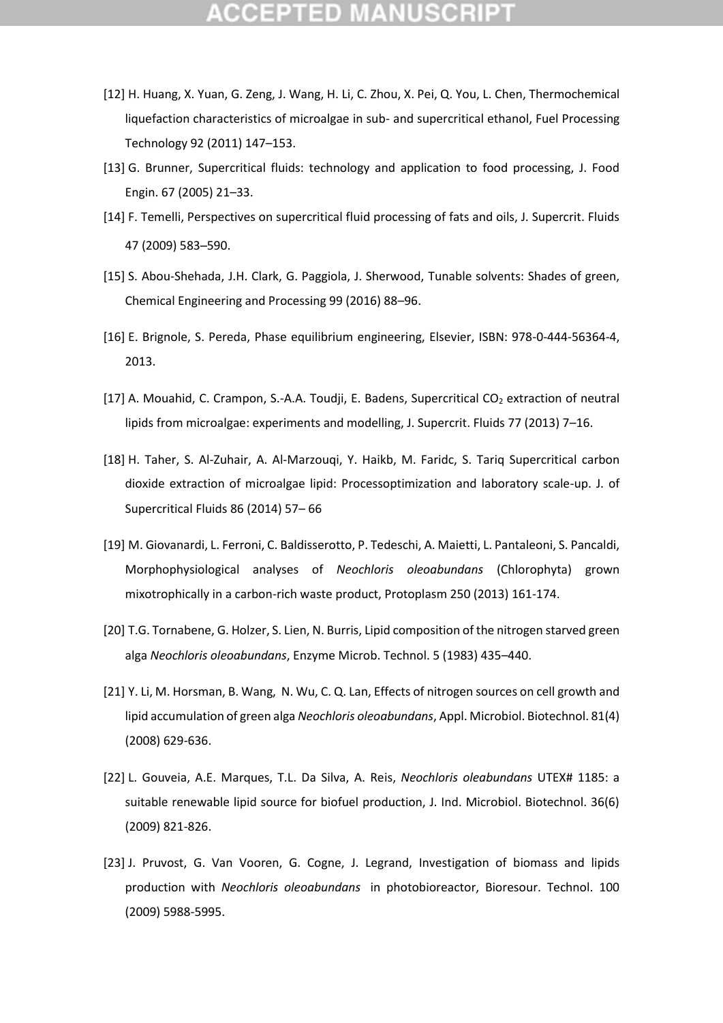- [12] H. Huang, X. Yuan, G. Zeng, J. Wang, H. Li, C. Zhou, X. Pei, Q. You, L. Chen, Thermochemical liquefaction characteristics of microalgae in sub- and supercritical ethanol, Fuel Processing Technology 92 (2011) 147–153.
- [13] G. Brunner, Supercritical fluids: technology and application to food processing, J. Food Engin. 67 (2005) 21–33.
- [14] F. Temelli, Perspectives on supercritical fluid processing of fats and oils, J. Supercrit. Fluids 47 (2009) 583–590.
- [15] S. Abou-Shehada, J.H. Clark, G. Paggiola, J. Sherwood, Tunable solvents: Shades of green, Chemical Engineering and Processing 99 (2016) 88–96.
- [16] E. Brignole, S. Pereda, Phase equilibrium engineering, Elsevier, ISBN: 978-0-444-56364-4, 2013.
- [17] A. Mouahid, C. Crampon, S.-A.A. Toudji, E. Badens, Supercritical  $CO<sub>2</sub>$  extraction of neutral lipids from microalgae: experiments and modelling, J. Supercrit. Fluids 77 (2013) 7–16.
- [18] H. Taher, S. Al-Zuhair, A. Al-Marzouqi, Y. Haikb, M. Faridc, S. Tariq Supercritical carbon dioxide extraction of microalgae lipid: Processoptimization and laboratory scale-up. J. of Supercritical Fluids 86 (2014) 57– 66
- [19] M. Giovanardi, L. Ferroni, C. Baldisserotto, P. Tedeschi, A. Maietti, L. Pantaleoni, S. Pancaldi, Morphophysiological analyses of *Neochloris oleoabundans* (Chlorophyta) grown mixotrophically in a carbon-rich waste product, Protoplasm 250 (2013) 161-174.
- [20] T.G. Tornabene, G. Holzer, S. Lien, N. Burris, Lipid composition of the nitrogen starved green alga *Neochloris oleoabundans*, Enzyme Microb. Technol. 5 (1983) 435–440.
- [21] Y. Li, M. Horsman, B. Wang, N. Wu, C. Q. Lan, Effects of nitrogen sources on cell growth and lipid accumulation of green alga *Neochloris oleoabundans*, Appl. Microbiol. Biotechnol. 81(4) (2008) 629-636.
- [22] L. Gouveia, A.E. Marques, T.L. Da Silva, A. Reis, *Neochloris oleabundans* UTEX# 1185: a suitable renewable lipid source for biofuel production, J. Ind. Microbiol. Biotechnol. 36(6) (2009) 821-826.
- [23] J. Pruvost, G. Van Vooren, G. Cogne, J. Legrand, Investigation of biomass and lipids production with *Neochloris oleoabundans* in photobioreactor, Bioresour. Technol. 100 (2009) 5988-5995.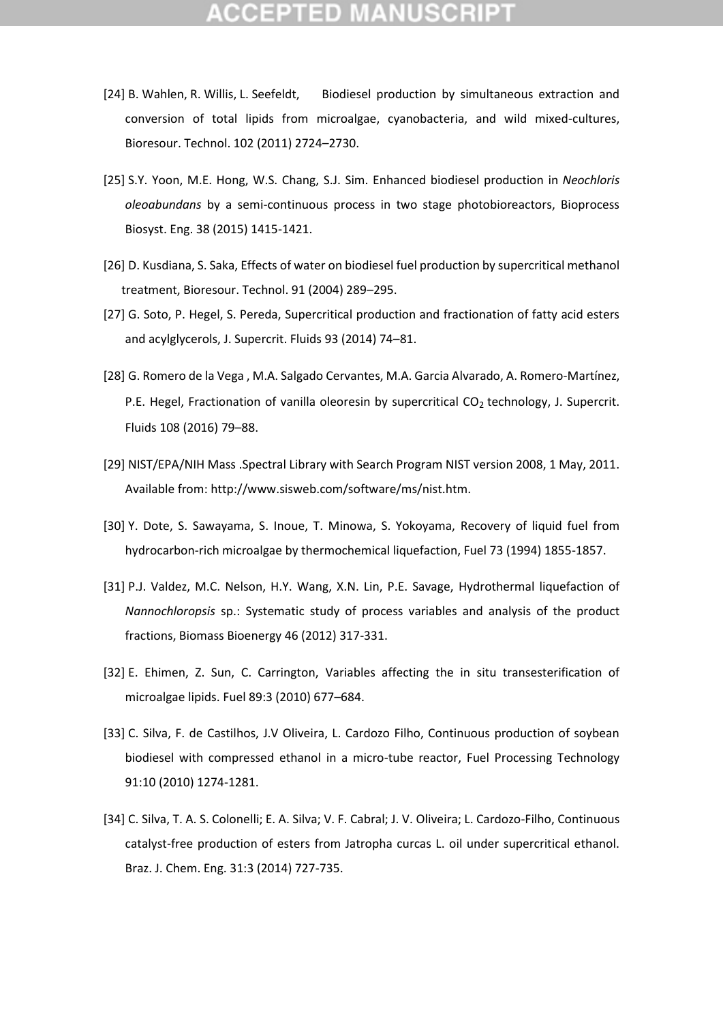- [24] B. Wahlen, R. Willis, L. Seefeldt, Biodiesel production by simultaneous extraction and conversion of total lipids from microalgae, cyanobacteria, and wild mixed-cultures, Bioresour. Technol. 102 (2011) 2724–2730.
- [25] S.Y. Yoon, M.E. Hong, W.S. Chang, S.J. Sim. Enhanced biodiesel production in *Neochloris oleoabundans* by a semi-continuous process in two stage photobioreactors, Bioprocess Biosyst. Eng. 38 (2015) 1415-1421.
- [26] D. Kusdiana, S. Saka, Effects of water on biodiesel fuel production by supercritical methanol treatment, Bioresour. Technol. 91 (2004) 289–295.
- [27] G. Soto, P. Hegel, S. Pereda, Supercritical production and fractionation of fatty acid esters and acylglycerols, J. Supercrit. Fluids 93 (2014) 74–81.
- [28] G. Romero de la Vega , M.A. Salgado Cervantes, M.A. Garcia Alvarado, A. Romero-Martínez, P.E. Hegel, Fractionation of vanilla oleoresin by supercritical  $CO<sub>2</sub>$  technology, J. Supercrit. Fluids 108 (2016) 79–88.
- [29] NIST/EPA/NIH Mass .Spectral Library with Search Program NIST version 2008, 1 May, 2011. Available from: http://www.sisweb.com/software/ms/nist.htm.
- [30] Y. Dote, S. Sawayama, S. Inoue, T. Minowa, S. Yokoyama, Recovery of liquid fuel from hydrocarbon-rich microalgae by thermochemical liquefaction, Fuel 73 (1994) 1855-1857.
- [31] P.J. Valdez, M.C. Nelson, H.Y. Wang, X.N. Lin, P.E. Savage, Hydrothermal liquefaction of *Nannochloropsis* sp.: Systematic study of process variables and analysis of the product fractions, Biomass Bioenergy 46 (2012) 317-331.
- [32] E. Ehimen, Z. Sun, C. Carrington, Variables affecting the in situ transesterification of microalgae lipids. Fuel 89:3 (2010) 677–684.
- [33] C. Silva, F. de Castilhos, J.V Oliveira, L. Cardozo Filho, Continuous production of soybean biodiesel with compressed ethanol in a micro-tube reactor, Fuel Processing Technology 91:10 (2010) 1274-1281.
- [34] C. Silva, T. A. S. Colonelli; E. A. Silva; V. F. Cabral; J. V. Oliveira; L. Cardozo-Filho, Continuous catalyst-free production of esters from Jatropha curcas L. oil under supercritical ethanol. Braz. J. Chem. Eng. 31:3 (2014) 727-735.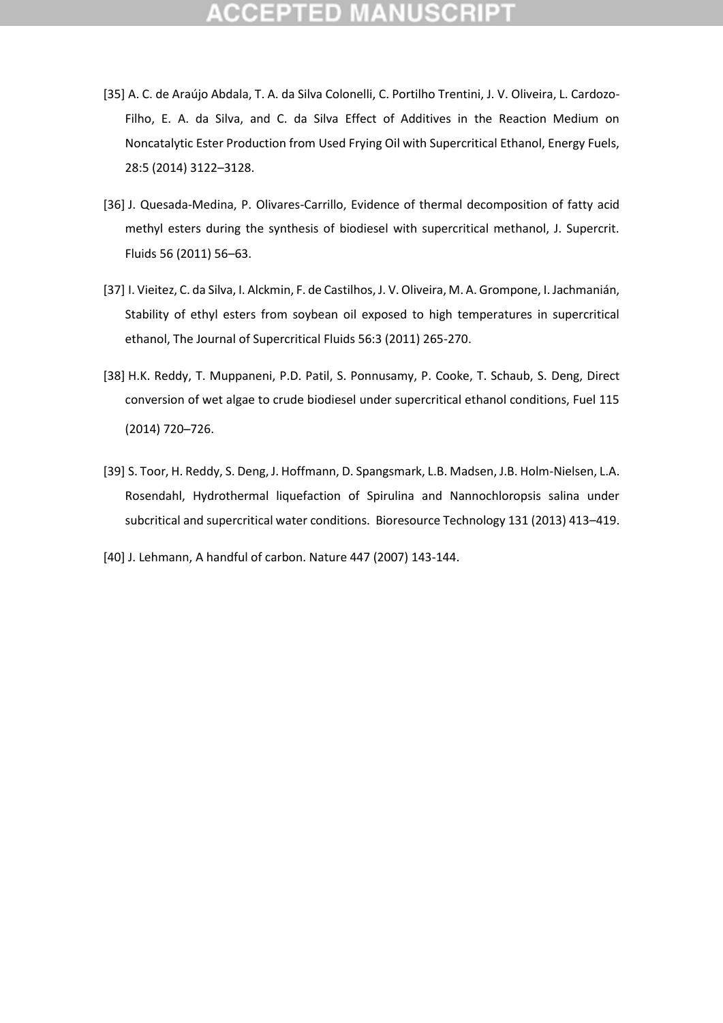- [35] A. C. de Araújo Abdala, T. A. da Silva Colonelli, C. Portilho Trentini, J. V. Oliveira, L. Cardozo-Filho, E. A. da Silva, and C. da Silva Effect of Additives in the Reaction Medium on Noncatalytic Ester Production from Used Frying Oil with Supercritical Ethanol, Energy Fuels, 28:5 (2014) 3122–3128.
- [36] J. Quesada-Medina, P. Olivares-Carrillo, Evidence of thermal decomposition of fatty acid methyl esters during the synthesis of biodiesel with supercritical methanol, J. Supercrit. Fluids 56 (2011) 56–63.
- [37] I. Vieitez, C. da Silva, I. Alckmin, F. de Castilhos, J. V. Oliveira, M. A. Grompone, I. Jachmanián, Stability of ethyl esters from soybean oil exposed to high temperatures in supercritical ethanol, The Journal of Supercritical Fluids 56:3 (2011) 265-270.
- [38] H.K. Reddy, T. Muppaneni, P.D. Patil, S. Ponnusamy, P. Cooke, T. Schaub, S. Deng, Direct conversion of wet algae to crude biodiesel under supercritical ethanol conditions, Fuel 115 (2014) 720–726.
- [39] S. Toor, H. Reddy, S. Deng, J. Hoffmann, D. Spangsmark, L.B. Madsen, J.B. Holm-Nielsen, L.A. Rosendahl, Hydrothermal liquefaction of Spirulina and Nannochloropsis salina under subcritical and supercritical water conditions. Bioresource Technology 131 (2013) 413–419.
- [40] J. Lehmann, A handful of carbon. Nature 447 (2007) 143-144.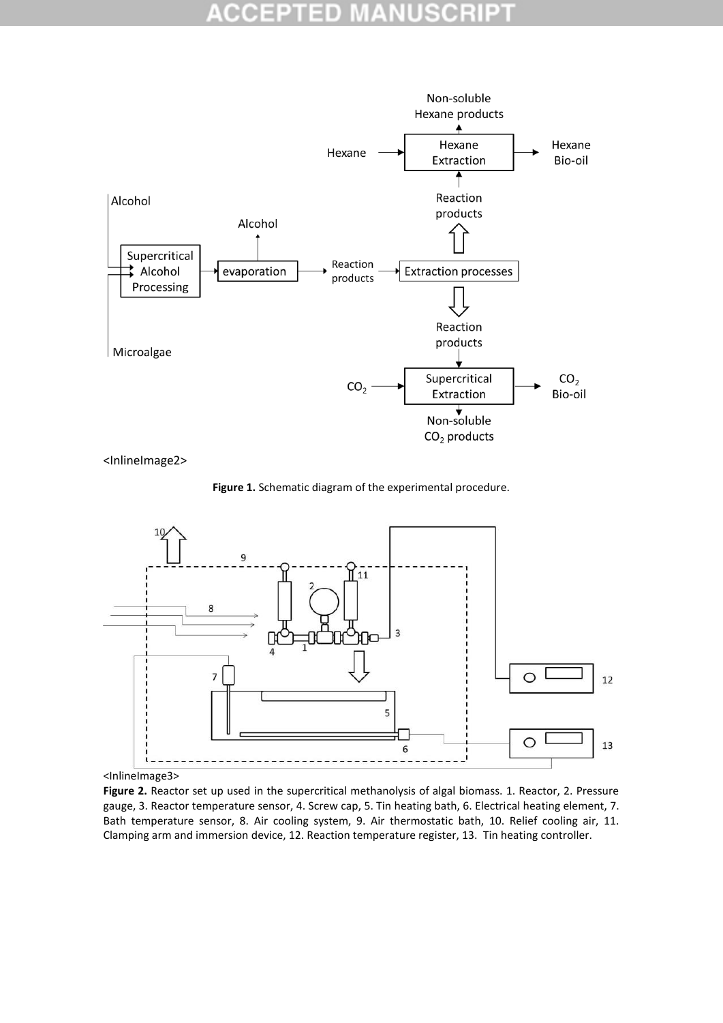

<InlineImage2>





<sup>&</sup>lt;InlineImage3>

Figure 2. Reactor set up used in the supercritical methanolysis of algal biomass. 1. Reactor, 2. Pressure gauge, 3. Reactor temperature sensor, 4. Screw cap, 5. Tin heating bath, 6. Electrical heating element, 7. Bath temperature sensor, 8. Air cooling system, 9. Air thermostatic bath, 10. Relief cooling air, 11. Clamping arm and immersion device, 12. Reaction temperature register, 13. Tin heating controller.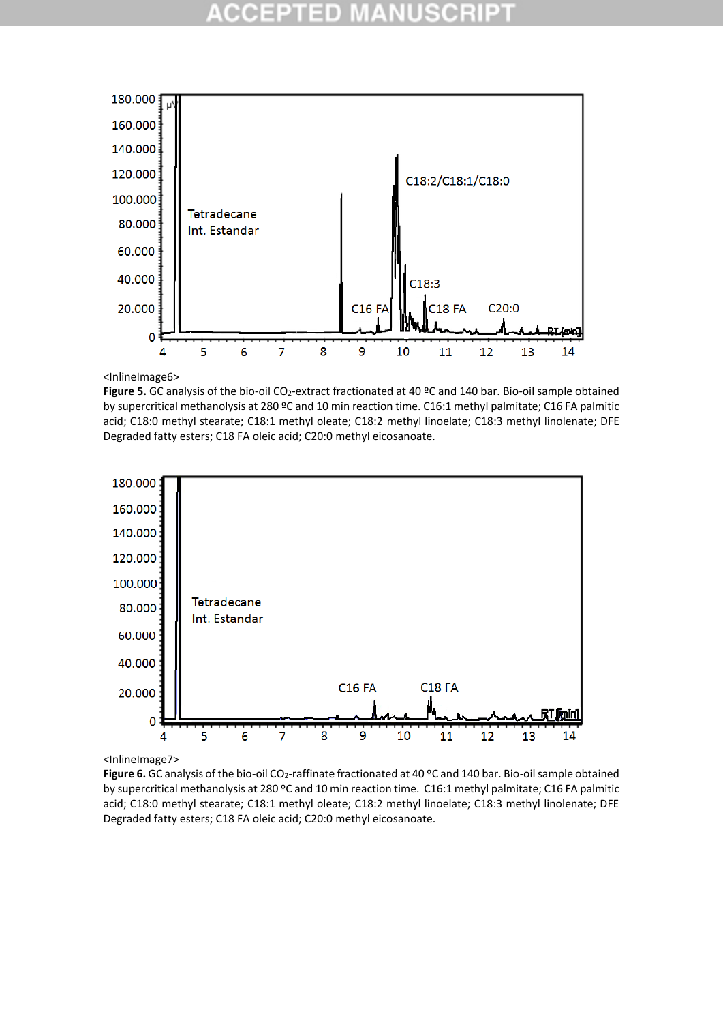

<InlineImage6>

Figure 5. GC analysis of the bio-oil CO<sub>2</sub>-extract fractionated at 40 °C and 140 bar. Bio-oil sample obtained by supercritical methanolysis at 280 ºC and 10 min reaction time. C16:1 methyl palmitate; C16 FA palmitic acid; C18:0 methyl stearate; C18:1 methyl oleate; C18:2 methyl linoelate; C18:3 methyl linolenate; DFE Degraded fatty esters; C18 FA oleic acid; C20:0 methyl eicosanoate.



<InlineImage7>

Figure 6. GC analysis of the bio-oil CO<sub>2</sub>-raffinate fractionated at 40 °C and 140 bar. Bio-oil sample obtained by supercritical methanolysis at 280 ºC and 10 min reaction time. C16:1 methyl palmitate; C16 FA palmitic acid; C18:0 methyl stearate; C18:1 methyl oleate; C18:2 methyl linoelate; C18:3 methyl linolenate; DFE Degraded fatty esters; C18 FA oleic acid; C20:0 methyl eicosanoate.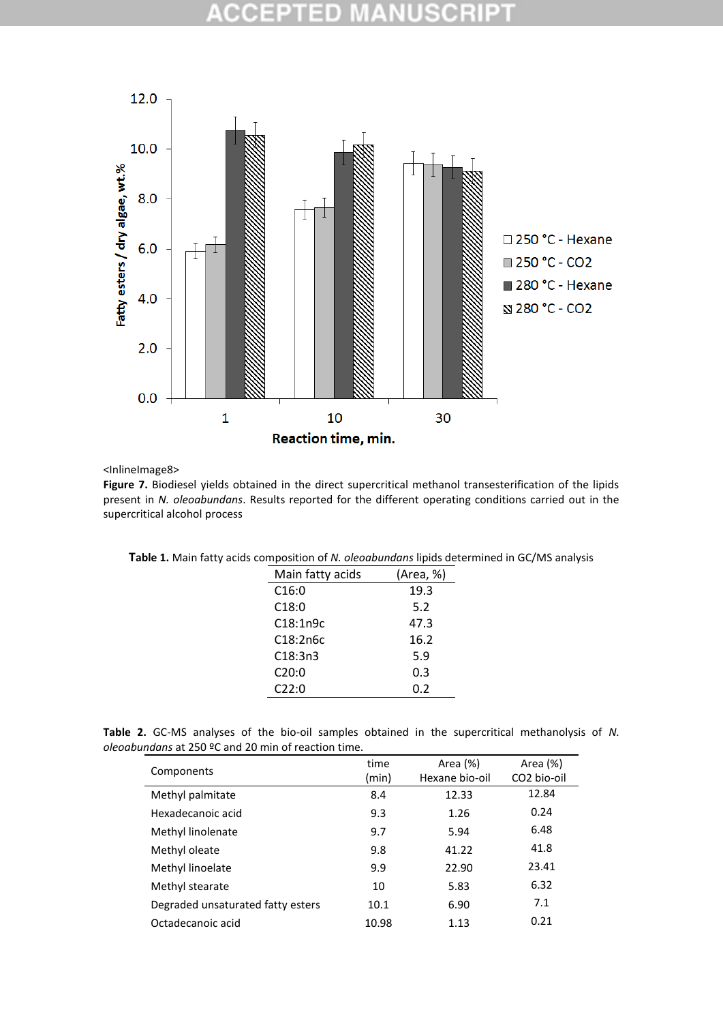

### <InlineImage8>

Figure 7. Biodiesel yields obtained in the direct supercritical methanol transesterification of the lipids present in *N. oleoabundans*. Results reported for the different operating conditions carried out in the supercritical alcohol process

| Main fatty acids      | (Area, %) |
|-----------------------|-----------|
| C16:0                 | 19.3      |
| C18:0                 | 5.2       |
| C18:1n9c              | 47.3      |
| C <sub>18</sub> :2n6c | 16.2      |
| C18:3n3               | 5.9       |
| C20:0                 | 0.3       |
| C22:0                 | 0.2       |
|                       |           |

**Table 2.** GC-MS analyses of the bio-oil samples obtained in the supercritical methanolysis of *N. oleoabundans* at 250 ºC and 20 min of reaction time.

| Components                        | time  | Area (%)       | Area (%)                |
|-----------------------------------|-------|----------------|-------------------------|
|                                   | (min) | Hexane bio-oil | CO <sub>2</sub> bio-oil |
| Methyl palmitate                  | 8.4   | 12.33          | 12.84                   |
| Hexadecanoic acid                 | 9.3   | 1.26           | 0.24                    |
| Methyl linolenate                 | 9.7   | 5.94           | 6.48                    |
| Methyl oleate                     | 9.8   | 41.22          | 41.8                    |
| Methyl linoelate                  | 9.9   | 22.90          | 23.41                   |
| Methyl stearate                   | 10    | 5.83           | 6.32                    |
| Degraded unsaturated fatty esters | 10.1  | 6.90           | 7.1                     |
| Octadecanoic acid                 | 10.98 | 1.13           | 0.21                    |